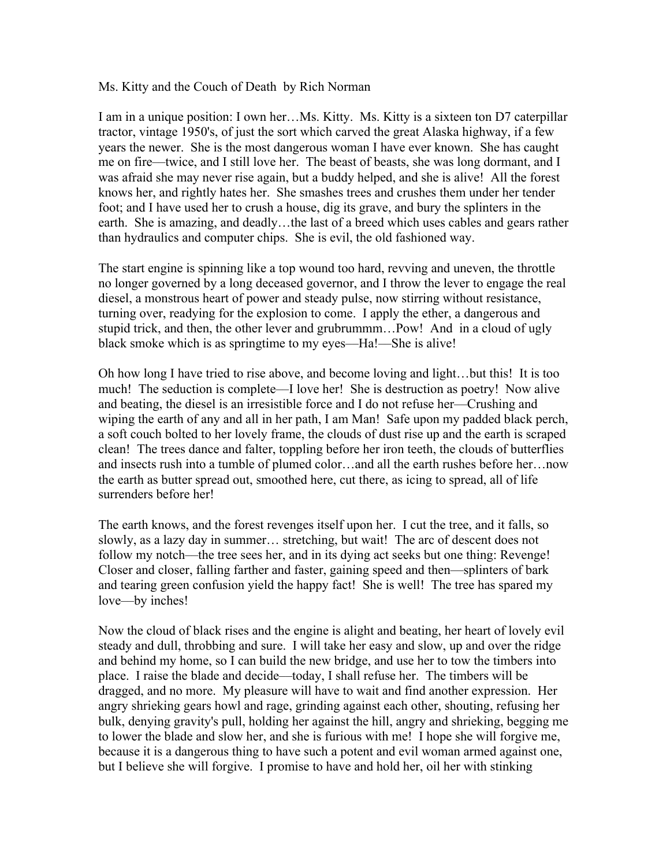Ms. Kitty and the Couch of Death by Rich Norman

I am in a unique position: I own her...Ms. Kitty. Ms. Kitty is a sixteen ton D7 caterpillar tractor, vintage 1950's, of just the sort which carved the great Alaska highway, if a few years the newer. She is the most dangerous woman I have ever known. She has caught me on fire––twice, and I still love her. The beast of beasts, she was long dormant, and I was afraid she may never rise again, but a buddy helped, and she is alive! All the forest knows her, and rightly hates her. She smashes trees and crushes them under her tender foot; and I have used her to crush a house, dig its grave, and bury the splinters in the earth. She is amazing, and deadly…the last of a breed which uses cables and gears rather than hydraulics and computer chips. She is evil, the old fashioned way.

The start engine is spinning like a top wound too hard, revving and uneven, the throttle no longer governed by a long deceased governor, and I throw the lever to engage the real diesel, a monstrous heart of power and steady pulse, now stirring without resistance, turning over, readying for the explosion to come. I apply the ether, a dangerous and stupid trick, and then, the other lever and grubrummm…Pow! And in a cloud of ugly black smoke which is as springtime to my eyes—Ha!—She is alive!

Oh how long I have tried to rise above, and become loving and light…but this! It is too much! The seduction is complete—I love her! She is destruction as poetry! Now alive and beating, the diesel is an irresistible force and I do not refuse her––Crushing and wiping the earth of any and all in her path, I am Man! Safe upon my padded black perch, a soft couch bolted to her lovely frame, the clouds of dust rise up and the earth is scraped clean! The trees dance and falter, toppling before her iron teeth, the clouds of butterflies and insects rush into a tumble of plumed color…and all the earth rushes before her…now the earth as butter spread out, smoothed here, cut there, as icing to spread, all of life surrenders before her!

The earth knows, and the forest revenges itself upon her. I cut the tree, and it falls, so slowly, as a lazy day in summer… stretching, but wait! The arc of descent does not follow my notch––the tree sees her, and in its dying act seeks but one thing: Revenge! Closer and closer, falling farther and faster, gaining speed and then––splinters of bark and tearing green confusion yield the happy fact! She is well! The tree has spared my love—by inches!

Now the cloud of black rises and the engine is alight and beating, her heart of lovely evil steady and dull, throbbing and sure. I will take her easy and slow, up and over the ridge and behind my home, so I can build the new bridge, and use her to tow the timbers into place. I raise the blade and decide––today, I shall refuse her. The timbers will be dragged, and no more. My pleasure will have to wait and find another expression. Her angry shrieking gears howl and rage, grinding against each other, shouting, refusing her bulk, denying gravity's pull, holding her against the hill, angry and shrieking, begging me to lower the blade and slow her, and she is furious with me! I hope she will forgive me, because it is a dangerous thing to have such a potent and evil woman armed against one, but I believe she will forgive. I promise to have and hold her, oil her with stinking